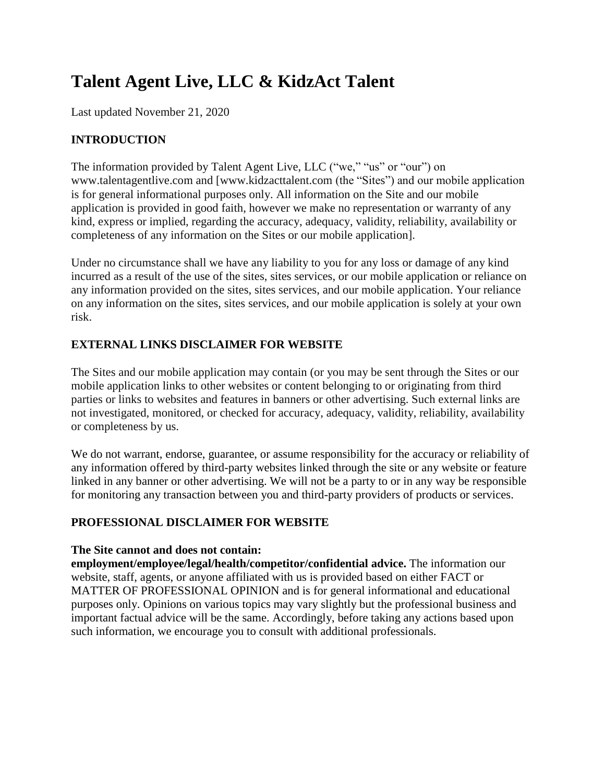# **Talent Agent Live, LLC & KidzAct Talent**

Last updated November 21, 2020

## **INTRODUCTION**

The information provided by Talent Agent Live, LLC ("we," "us" or "our") on www.talentagentlive.com and [www.kidzacttalent.com (the "Sites") and our mobile application is for general informational purposes only. All information on the Site and our mobile application is provided in good faith, however we make no representation or warranty of any kind, express or implied, regarding the accuracy, adequacy, validity, reliability, availability or completeness of any information on the Sites or our mobile application].

Under no circumstance shall we have any liability to you for any loss or damage of any kind incurred as a result of the use of the sites, sites services, or our mobile application or reliance on any information provided on the sites, sites services, and our mobile application. Your reliance on any information on the sites, sites services, and our mobile application is solely at your own risk.

## **EXTERNAL LINKS DISCLAIMER FOR WEBSITE**

The Sites and our mobile application may contain (or you may be sent through the Sites or our mobile application links to other websites or content belonging to or originating from third parties or links to websites and features in banners or other advertising. Such external links are not investigated, monitored, or checked for accuracy, adequacy, validity, reliability, availability or completeness by us.

We do not warrant, endorse, guarantee, or assume responsibility for the accuracy or reliability of any information offered by third-party websites linked through the site or any website or feature linked in any banner or other advertising. We will not be a party to or in any way be responsible for monitoring any transaction between you and third-party providers of products or services.

#### **PROFESSIONAL DISCLAIMER FOR WEBSITE**

#### **The Site cannot and does not contain:**

**employment/employee/legal/health/competitor/confidential advice.** The information our website, staff, agents, or anyone affiliated with us is provided based on either FACT or MATTER OF PROFESSIONAL OPINION and is for general informational and educational purposes only. Opinions on various topics may vary slightly but the professional business and important factual advice will be the same. Accordingly, before taking any actions based upon such information, we encourage you to consult with additional professionals.